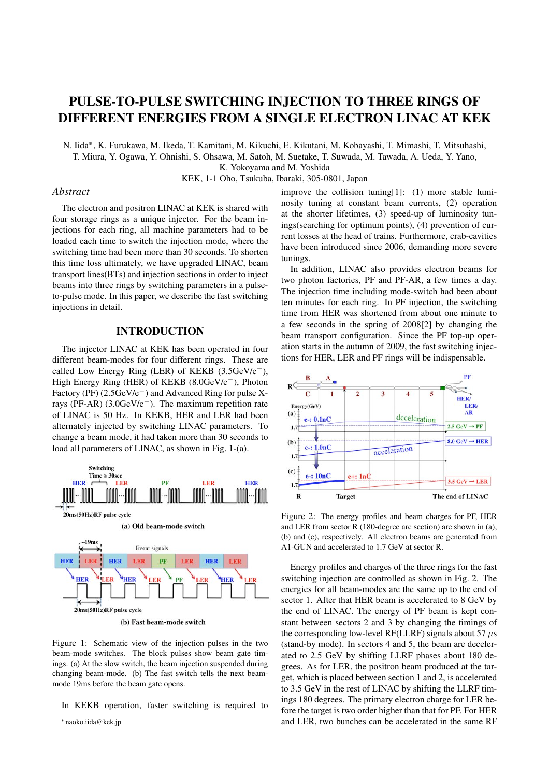# PULSE-TO-PULSE SWITCHING INJECTION TO THREE RINGS OF DIFFERENT ENERGIES FROM A SINGLE ELECTRON LINAC AT KEK

N. Iida∗, K. Furukawa, M. Ikeda, T. Kamitani, M. Kikuchi, E. Kikutani, M. Kobayashi, T. Mimashi, T. Mitsuhashi,

T. Miura, Y. Ogawa, Y. Ohnishi, S. Ohsawa, M. Satoh, M. Suetake, T. Suwada, M. Tawada, A. Ueda, Y. Yano,

K. Yokoyama and M. Yoshida

KEK, 1-1 Oho, Tsukuba, Ibaraki, 305-0801, Japan

## *Abstract*

The electron and positron LINAC at KEK is shared with four storage rings as a unique injector. For the beam injections for each ring, all machine parameters had to be loaded each time to switch the injection mode, where the switching time had been more than 30 seconds. To shorten this time loss ultimately, we have upgraded LINAC, beam transport lines(BTs) and injection sections in order to inject beams into three rings by switching parameters in a pulseto-pulse mode. In this paper, we describe the fast switching injections in detail.

#### INTRODUCTION

The injector LINAC at KEK has been operated in four different beam-modes for four different rings. These are called Low Energy Ring (LER) of KEKB  $(3.5GeV/e^{+})$ , High Energy Ring (HER) of KEKB (8.0GeV/e−), Photon Factory (PF) (2.5GeV/e−) and Advanced Ring for pulse Xrays (PF-AR) (3.0GeV/e−). The maximum repetition rate of LINAC is 50 Hz. In KEKB, HER and LER had been alternately injected by switching LINAC parameters. To change a beam mode, it had taken more than 30 seconds to load all parameters of LINAC, as shown in Fig. 1-(a).



Figure 1: Schematic view of the injection pulses in the two beam-mode switches. The block pulses show beam gate timings. (a) At the slow switch, the beam injection suspended during changing beam-mode. (b) The fast switch tells the next beammode 19ms before the beam gate opens.

In KEKB operation, faster switching is required to

improve the collision tuning[1]: (1) more stable luminosity tuning at constant beam currents, (2) operation at the shorter lifetimes, (3) speed-up of luminosity tunings(searching for optimum points), (4) prevention of current losses at the head of trains. Furthermore, crab-cavities have been introduced since 2006, demanding more severe tunings.

In addition, LINAC also provides electron beams for two photon factories, PF and PF-AR, a few times a day. The injection time including mode-switch had been about ten minutes for each ring. In PF injection, the switching time from HER was shortened from about one minute to a few seconds in the spring of 2008[2] by changing the beam transport configuration. Since the PF top-up operation starts in the autumn of 2009, the fast switching injections for HER, LER and PF rings will be indispensable.



Figure 2: The energy profiles and beam charges for PF, HER and LER from sector R (180-degree arc section) are shown in (a), (b) and (c), respectively. All electron beams are generated from A1-GUN and accelerated to 1.7 GeV at sector R.

Energy profiles and charges of the three rings for the fast switching injection are controlled as shown in Fig. 2. The energies for all beam-modes are the same up to the end of sector 1. After that HER beam is accelerated to 8 GeV by the end of LINAC. The energy of PF beam is kept constant between sectors 2 and 3 by changing the timings of the corresponding low-level RF(LLRF) signals about 57  $\mu$ s (stand-by mode). In sectors 4 and 5, the beam are decelerated to 2.5 GeV by shifting LLRF phases about 180 degrees. As for LER, the positron beam produced at the target, which is placed between section 1 and 2, is accelerated to 3.5 GeV in the rest of LINAC by shifting the LLRF timings 180 degrees. The primary electron charge for LER before the target is two order higher than that for PF. For HER and LER, two bunches can be accelerated in the same RF

<sup>∗</sup> naoko.iida@kek.jp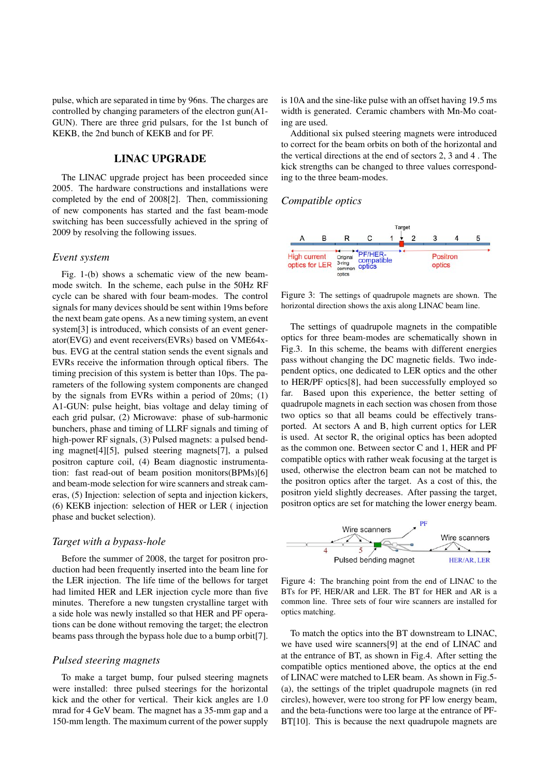pulse, which are separated in time by 96ns. The charges are controlled by changing parameters of the electron gun(A1- GUN). There are three grid pulsars, for the 1st bunch of KEKB, the 2nd bunch of KEKB and for PF.

## LINAC UPGRADE

The LINAC upgrade project has been proceeded since 2005. The hardware constructions and installations were completed by the end of 2008[2]. Then, commissioning of new components has started and the fast beam-mode switching has been successfully achieved in the spring of 2009 by resolving the following issues.

#### *Event system*

Fig. 1-(b) shows a schematic view of the new beammode switch. In the scheme, each pulse in the 50Hz RF cycle can be shared with four beam-modes. The control signals for many devices should be sent within 19ms before the next beam gate opens. As a new timing system, an event system<sup>[3]</sup> is introduced, which consists of an event generator(EVG) and event receivers(EVRs) based on VME64xbus. EVG at the central station sends the event signals and EVRs receive the information through optical fibers. The timing precision of this system is better than 10ps. The parameters of the following system components are changed by the signals from EVRs within a period of 20ms; (1) A1-GUN: pulse height, bias voltage and delay timing of each grid pulsar, (2) Microwave: phase of sub-harmonic bunchers, phase and timing of LLRF signals and timing of high-power RF signals, (3) Pulsed magnets: a pulsed bending magnet[4][5], pulsed steering magnets[7], a pulsed positron capture coil, (4) Beam diagnostic instrumentation: fast read-out of beam position monitors(BPMs)[6] and beam-mode selection for wire scanners and streak cameras, (5) Injection: selection of septa and injection kickers, (6) KEKB injection: selection of HER or LER ( injection phase and bucket selection).

#### *Target with a bypass-hole*

Before the summer of 2008, the target for positron production had been frequently inserted into the beam line for the LER injection. The life time of the bellows for target had limited HER and LER injection cycle more than five minutes. Therefore a new tungsten crystalline target with a side hole was newly installed so that HER and PF operations can be done without removing the target; the electron beams pass through the bypass hole due to a bump orbit[7].

#### *Pulsed steering magnets*

To make a target bump, four pulsed steering magnets were installed: three pulsed steerings for the horizontal kick and the other for vertical. Their kick angles are 1.0 mrad for 4 GeV beam. The magnet has a 35-mm gap and a 150-mm length. The maximum current of the power supply

is 10A and the sine-like pulse with an offset having 19.5 ms width is generated. Ceramic chambers with Mn-Mo coating are used.

Additional six pulsed steering magnets were introduced to correct for the beam orbits on both of the horizontal and the vertical directions at the end of sectors 2, 3 and 4 . The kick strengths can be changed to three values corresponding to the three beam-modes.

#### *Compatible optics*



Figure 3: The settings of quadrupole magnets are shown. The horizontal direction shows the axis along LINAC beam line.

The settings of quadrupole magnets in the compatible optics for three beam-modes are schematically shown in Fig.3. In this scheme, the beams with different energies pass without changing the DC magnetic fields. Two independent optics, one dedicated to LER optics and the other to HER/PF optics[8], had been successfully employed so far. Based upon this experience, the better setting of quadrupole magnets in each section was chosen from those two optics so that all beams could be effectively transported. At sectors A and B, high current optics for LER is used. At sector R, the original optics has been adopted as the common one. Between sector C and 1, HER and PF compatible optics with rather weak focusing at the target is used, otherwise the electron beam can not be matched to the positron optics after the target. As a cost of this, the positron yield slightly decreases. After passing the target, positron optics are set for matching the lower energy beam.



Figure 4: The branching point from the end of LINAC to the BTs for PF, HER/AR and LER. The BT for HER and AR is a common line. Three sets of four wire scanners are installed for optics matching.

To match the optics into the BT downstream to LINAC, we have used wire scanners[9] at the end of LINAC and at the entrance of BT, as shown in Fig.4. After setting the compatible optics mentioned above, the optics at the end of LINAC were matched to LER beam. As shown in Fig.5- (a), the settings of the triplet quadrupole magnets (in red circles), however, were too strong for PF low energy beam, and the beta-functions were too large at the entrance of PF-BT[10]. This is because the next quadrupole magnets are